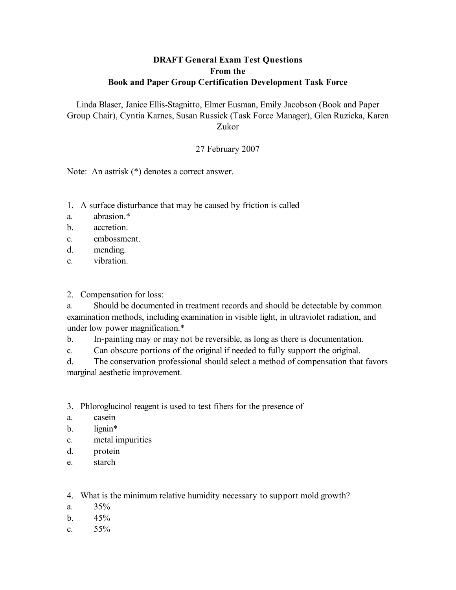### **DRAFT General Exam Test Questions From the Book and Paper Group Certification Development Task Force**

Linda Blaser, Janice Ellis-Stagnitto, Elmer Eusman, Emily Jacobson (Book and Paper Group Chair), Cyntia Karnes, Susan Russick (Task Force Manager), Glen Ruzicka, Karen Zukor

### 27 February 2007

Note: An astrisk (\*) denotes a correct answer.

- 1. A surface disturbance that may be caused by friction is called
- a. abrasion.\*
- b. accretion.
- c. embossment.
- d. mending.
- e. vibration.

#### 2. Compensation for loss:

a. Should be documented in treatment records and should be detectable by common examination methods, including examination in visible light, in ultraviolet radiation, and under low power magnification.\*

b. In-painting may or may not be reversible, as long as there is documentation.

c. Can obscure portions of the original if needed to fully support the original.

d. The conservation professional should select a method of compensation that favors marginal aesthetic improvement.

3. Phloroglucinol reagent is used to test fibers for the presence of

- a. casein
- b. lignin\*
- c. metal impurities
- d. protein
- e. starch

4. What is the minimum relative humidity necessary to support mold growth?

- a.  $35\%$
- $h = 45\%$
- c.  $55\%$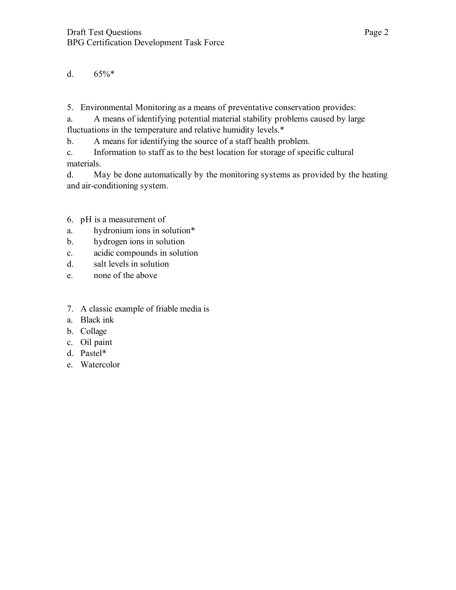# d.  $65\%*$

5. Environmental Monitoring as a means of preventative conservation provides:

a. A means of identifying potential material stability problems caused by large fluctuations in the temperature and relative humidity levels.\*

b. A means for identifying the source of a staff health problem.

c. Information to staff as to the best location for storage of specific cultural materials.

d. May be done automatically by the monitoring systems as provided by the heating and air-conditioning system.

## 6. pH is a measurement of

- a. hydronium ions in solution\*
- b. hydrogen ions in solution
- c. acidic compounds in solution
- d. salt levels in solution
- e. none of the above
- 7. A classic example of friable media is
- a. Black ink
- b. Collage
- c. Oil paint
- d. Pastel\*
- e. Watercolor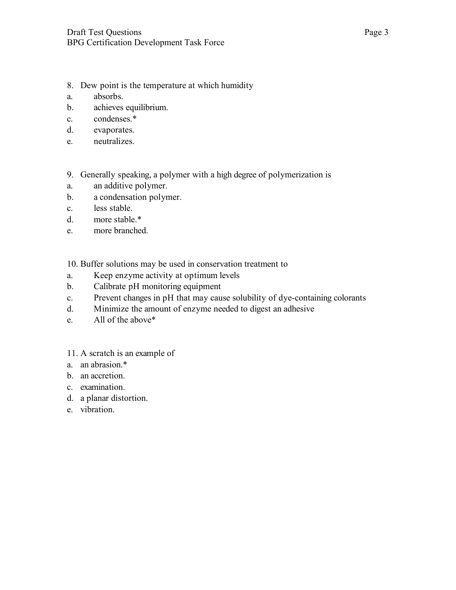- 8. Dew point is the temperature at which humidity
- a. absorbs.
- b. achieves equilibrium.
- c. condenses.\*
- d. evaporates.
- e. neutralizes.
- 9. Generally speaking, a polymer with a high degree of polymerization is
- a. an additive polymer.
- b. a condensation polymer.
- c. less stable.
- d. more stable.\*
- e. more branched.

10. Buffer solutions may be used in conservation treatment to

- a. Keep enzyme activity at optimum levels
- b. Calibrate pH monitoring equipment
- c. Prevent changes in pH that may cause solubility of dye-containing colorants
- d. Minimize the amount of enzyme needed to digest an adhesive
- e. All of the above\*
- 11. A scratch is an example of
- a. an abrasion.\*
- b. an accretion.
- c. examination.
- d. a planar distortion.
- e. vibration.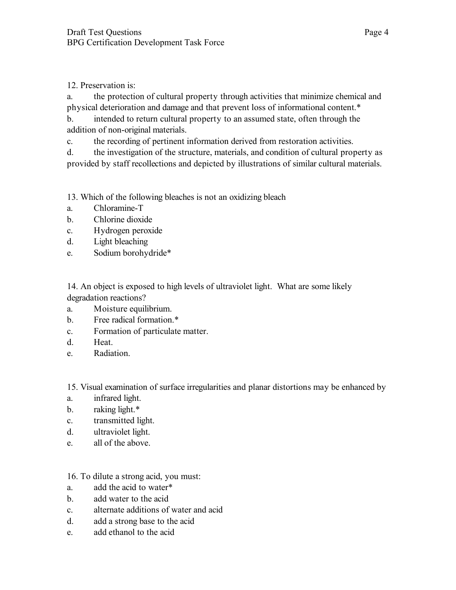12. Preservation is:

a. the protection of cultural property through activities that minimize chemical and physical deterioration and damage and that prevent loss of informational content.\*

b. intended to return cultural property to an assumed state, often through the addition of non-original materials.

c. the recording of pertinent information derived from restoration activities.

d. the investigation of the structure, materials, and condition of cultural property as provided by staff recollections and depicted by illustrations of similar cultural materials.

13. Which of the following bleaches is not an oxidizing bleach

- a. Chloramine-T
- b. Chlorine dioxide
- c. Hydrogen peroxide
- d. Light bleaching
- e. Sodium borohydride\*

14. An object is exposed to high levels of ultraviolet light. What are some likely degradation reactions?

- a. Moisture equilibrium.
- b. Free radical formation.\*
- c. Formation of particulate matter.
- d. Heat.
- e. Radiation.

15. Visual examination of surface irregularities and planar distortions may be enhanced by

- a. infrared light.
- b. raking light.\*
- c. transmitted light.
- d. ultraviolet light.
- e. all of the above.

16. To dilute a strong acid, you must:

- a. add the acid to water\*
- b. add water to the acid
- c. alternate additions of water and acid
- d. add a strong base to the acid
- e. add ethanol to the acid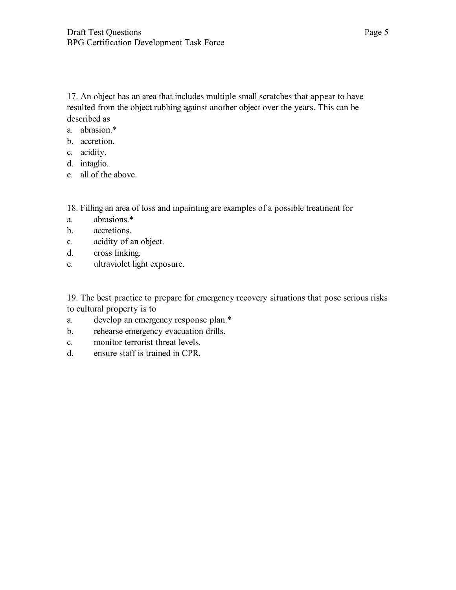17. An object has an area that includes multiple small scratches that appear to have resulted from the object rubbing against another object over the years. This can be described as

- a. abrasion.\*
- b. accretion.
- c. acidity.
- d. intaglio.
- e. all of the above.

18. Filling an area of loss and inpainting are examples of a possible treatment for

- a. abrasions.\*
- b. accretions.
- c. acidity of an object.
- d. cross linking.
- e. ultraviolet light exposure.

19. The best practice to prepare for emergency recovery situations that pose serious risks to cultural property is to

- a. develop an emergency response plan.\*
- b. rehearse emergency evacuation drills.
- c. monitor terrorist threat levels.
- d. ensure staff is trained in CPR.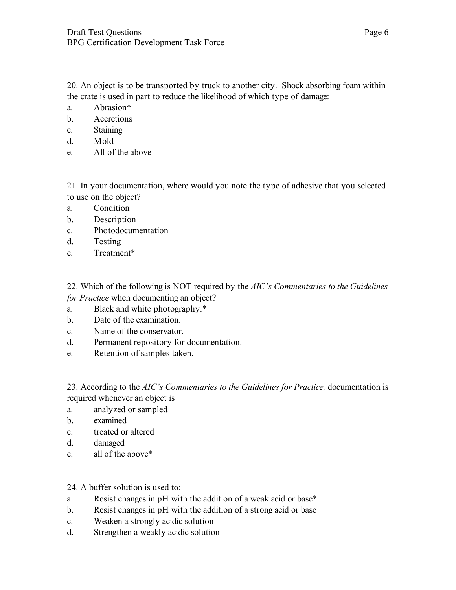20. An object is to be transported by truck to another city. Shock absorbing foam within the crate is used in part to reduce the likelihood of which type of damage:

- a. Abrasion\*
- b. Accretions
- c. Staining
- d. Mold
- e. All of the above

21. In your documentation, where would you note the type of adhesive that you selected to use on the object?

- a. Condition
- b. Description
- c. Photodocumentation
- d. Testing
- e. Treatment\*

22. Which of the following is NOT required by the *AIC's Commentaries to the Guidelines for Practice* when documenting an object?

- a. Black and white photography.\*
- b. Date of the examination.
- c. Name of the conservator.
- d. Permanent repository for documentation.
- e. Retention of samples taken.

23. According to the *AIC's Commentaries to the Guidelines for Practice,* documentation is required whenever an object is

- a. analyzed or sampled
- b. examined
- c. treated or altered
- d. damaged
- e. all of the above\*
- 24. A buffer solution is used to:
- a. Resist changes in pH with the addition of a weak acid or base\*
- b. Resist changes in pH with the addition of a strong acid or base
- c. Weaken a strongly acidic solution
- d. Strengthen a weakly acidic solution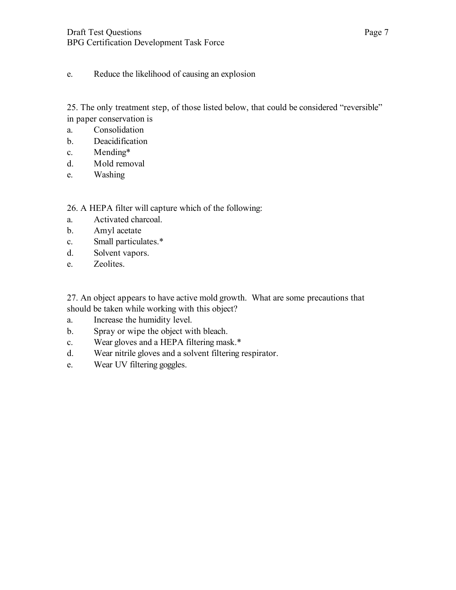e. Reduce the likelihood of causing an explosion

25. The only treatment step, of those listed below, that could be considered "reversible" in paper conservation is

- a. Consolidation
- b. Deacidification
- c. Mending\*
- d. Mold removal
- e. Washing

26. A HEPA filter will capture which of the following:

- a. Activated charcoal.
- b. Amyl acetate
- c. Small particulates.\*
- d. Solvent vapors.
- e. Zeolites.

27. An object appears to have active mold growth. What are some precautions that should be taken while working with this object?

- a. Increase the humidity level.
- b. Spray or wipe the object with bleach.
- c. Wear gloves and a HEPA filtering mask.\*
- d. Wear nitrile gloves and a solvent filtering respirator.
- e. Wear UV filtering goggles.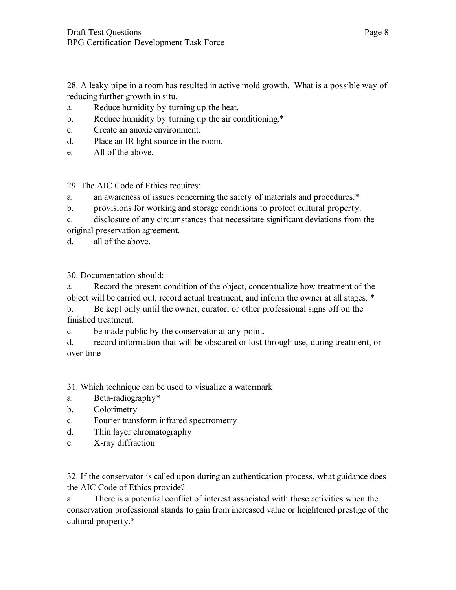28. A leaky pipe in a room has resulted in active mold growth. What is a possible way of reducing further growth in situ.

- a. Reduce humidity by turning up the heat.
- b. Reduce humidity by turning up the air conditioning.\*
- c. Create an anoxic environment.
- d. Place an IR light source in the room.
- e. All of the above.

29. The AIC Code of Ethics requires:

a. an awareness of issues concerning the safety of materials and procedures.\*

- b. provisions for working and storage conditions to protect cultural property.
- c. disclosure of any circumstances that necessitate significant deviations from the
- original preservation agreement.
- d. all of the above.

30. Documentation should:

a. Record the present condition of the object, conceptualize how treatment of the object will be carried out, record actual treatment, and inform the owner at all stages. \*

b. Be kept only until the owner, curator, or other professional signs off on the finished treatment.

c. be made public by the conservator at any point.

d. record information that will be obscured or lost through use, during treatment, or over time

31. Which technique can be used to visualize a watermark

- a. Beta-radiography\*
- b. Colorimetry
- c. Fourier transform infrared spectrometry
- d. Thin layer chromatography
- e. X-ray diffraction

32. If the conservator is called upon during an authentication process, what guidance does the AIC Code of Ethics provide?

a. There is a potential conflict of interest associated with these activities when the conservation professional stands to gain from increased value or heightened prestige of the cultural property.\*